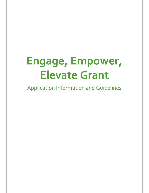# **Engage, Empower, Elevate Grant**

Application Information and Guidelines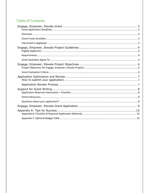# **Table of Contents**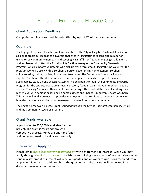# Engage, Empower, Elevate Grant

### <span id="page-2-1"></span><span id="page-2-0"></span>Grant Application Deadlines

Completed applications must be submitted by April 22<sup>nd</sup> of the calendar year.

### <span id="page-2-2"></span>Overview

The Engage, Empower, Elevate Grant was created by the City of Flagstaff Sustainability Section as a pilot program response to a twofold challenge in Flagstaff: the record high number of unsheltered community members and keeping Flagstaff litter free is an ongoing challenge. To address issues with litter, the Sustainability Section manages the Community Stewards Program, which supports volunteers who pick up trash throughout Flagstaff. One volunteer the program worked closely with is Stephen, a person experiencing homelessness. Stephen volunteered by picking up litter in the downtown area. The Community Stewards Program supplied Stephen with safety equipment, and he stopped in weekly to report his work to Sustainability staff. On one occasion, Stephen made a point to thank the Community Stewards Program for the opportunity to volunteer. He stated, "When I wear this volunteer vest, people see me. They say 'hello' and thank me for volunteering." This sparked the idea of working on a higher level with persons experiencing homelessness and Engage, Empower, Elevate was born. This grant will fund a project that provides employment opportunities to persons experiencing homelessness, or are at risk of homelessness, to abate litter in our community.

The Engage, Empower, Elevate Grant is funded through the City of Flagstaff Sustainability Office and the Community Stewards Program.

### <span id="page-2-3"></span>Grant Funds Available

A grant of up to \$30,000 is available for one project. The grant is awarded through a competitive process. Funds are one-time funds and not guaranteed to be allocated annually.

### <span id="page-2-4"></span>Interested in Applying?

Please email [marissa.molloy@flagstaffaz.gov](mailto:marissa.molloy@flagstaffaz.gov) with a statement of interest. While you may apply through the [link on our website](https://www.flagstaff.az.gov/4694/Engage-Empower-Elevate-Grant) without submitting a statement of interest, those who send in a statement of interest will receive updates and answers to questions received from all parties via email. In addition, both the question and the answer will be posted in a document available on our website.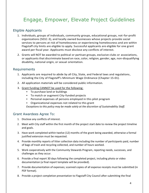# <span id="page-3-0"></span>Engage, Empower, Elevate Project Guidelines

## <span id="page-3-1"></span>Eligible Applicants

- 1. Individuals, groups of individuals, community groups, educational groups, not-for-profit organizations (501C-3), and locally owned businesses whose projects provide social services to persons at risk of homelessness or experiencing homelessness and are within Flagstaff city limits are eligible to apply. Successful applicants are eligible for one grant award per fiscal year. Applicants must disclose any conflicts of interest.
- 2. Grants will NOT be awarded to political or partisan groups, exclusive clubs or associations, or applicants that discriminate based on race, color, religion, gender, age, non-disqualifying disability, national origin, or sexual orientation.

### <span id="page-3-2"></span>Requirements

- 1. Applicants are required to abide by all City, State, and Federal laws and regulations, including the City of Flagstaff's Minimum Wage Ordinance (Chapter 15-01).
- 2. All application materials will be considered public information.
- 3. Grant funding CANNOT be used for the following:
	- To purchase land or buildings
	- To match or augment City-funded projects
	- Personal expenses of persons employed in this pilot program
	- Organizational expenses not related to this grant

*Exceptions to this policy may be made solely at the discretion of Sustainability Staff.*

### <span id="page-3-3"></span>Grant Awardees Agree To:

- 1. Disclose any conflicts of interest.
- 2. Meet with City staff within the first month of the project start date to review the project timeline and goals.
- 3. Have work completed within twelve (12) months of the grant being awarded, otherwise a formal justified extension must be requested.
- 4. Provide monthly reports of litter collection data including the number of participants paid, number of bags of trash and recycling collected, and number of hours worked.
- 5. Work cooperatively with the Community Stewards Program, reporting needs, successes, and challenges as they occur.
- 6. Provide a final report 30 days following the completed project, including photo or video documentation (a final report template will be provided).
- 7. Provide documentation of expenses; scanned copies of all expense receipts must be submitted (in PDF format).
- 8. Provide a project completion presentation to Flagstaff City Council after submitting the final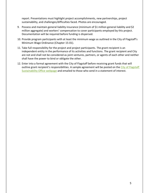report. Presentations must highlight project accomplishments, new partnerships, project sustainability, and challenges/difficulties faced. Photos are encouraged.

- 9. Possess and maintain general liability insurance (minimum of \$1 million general liability and \$2 million aggregate) and workers' compensation to cover participants employed by this project. Documentation will be required before funding is dispersed.
- 10. Provide program participants with at least the minimum wage as outlined in the City of Flagstaff's Minimum Wage Ordinance (Chapter 15-01).
- 11. Take full responsibility for the project and project participants. The grant recipient is an independent entity in the performance of its activities and functions. The grant recipient and City are not and shall not be considered as joint ventures, partners, or agents of each other and neither shall have the power to bind or obligate the other.
- 12. Enter into a formal agreement with the City of Flagstaff before receiving grant funds that will outline grant recipient's responsibilities. A sample agreement will be posted on the City of Flagstaff [Sustainability Office](https://www.flagstaff.az.gov/4694/Engage-Empower-Elevate-Grant) webpage and emailed to those who send in a statement of interest.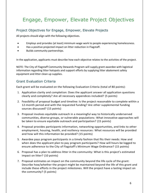# <span id="page-5-0"></span>Engage, Empower, Elevate Project Objectives

# <span id="page-5-1"></span>Project Objectives for Engage, Empower, Elevate Projects

All projects should align with the following objectives.

- Employs and provides (at least) minimum wage work to people experiencing homelessness.
- Has a positive projected impact on litter reduction in Flagstaff.
- Builds community partnerships.

In the application, applicants must describe how each objective relates to the activities of the project.

NOTE: The City of Flagstaff Community Stewards Program will supply grant awardee with logistical information regarding litter hotspots and support efforts by supplying litter abatement safety equipment and litter clean up supplies.

# <span id="page-5-2"></span>Grant Evaluation Criteria

Each grant will be evaluated on the following Evaluation Criteria (total of 80 points):

- 1. Application clarity and completion: Does the applicant answer all application questions clearly and completely? Are all necessary appendices included? (5 points)
- 2. Feasibility of proposal budget and timeline: Is the project reasonable to complete within a 12-month period and with the requested funding? Are other supplemental funding sources discussed? (15 points)
- 3. Proposal involves equitable outreach in a meaningful way to historically underserved communities, diverse groups, or vulnerable populations: What innovative approaches will be taken to ensure equitable outreach and participation? (15 points)
- 4. Proposal provides participants information, networking opportunities, and links to other employment, housing, health, and resiliency resources: What resources will be provided and how will this information be provided? (15 points)
- 5. Awardee pays program participants in a timely fashion that fits their needs: How and when does the applicant plan to pay program participants? How will hours be logged to ensure adherence to the City of Flagstaff's Minimum Wage Ordinance? (15 points)
- 6. Proposal has a plan to address litter in the community: What is this project's estimated impact on litter? (10 points)
- 7. Proposal estimates an impact on the community beyond the life cycle of the grant: Describe how/whether the project might be maintained beyond the life of this grant and include these efforts in the project milestones. Will the project have a lasting impact on the community? (5 points)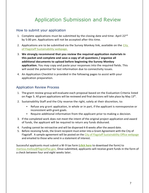# Application Submission and Review

### <span id="page-6-1"></span><span id="page-6-0"></span>How to submit your application

- 1. Complete applications must be submitted by the closing date and time: April 22 $^{nd}$ by 5:00 pm. Applications will not be accepted after this time.
- 2. Applications are to be submitted via the Survey Monkey link, available on the City [of Flagstaff Sustainability webpage.](https://www.flagstaff.az.gov/4694/Engage-Empower-Elevate-Grant)
- 3. **We strongly recommend that you review the required application materials in this packet and complete and save a copy of all questions / organize all additional documents to upload before beginning the Survey Monkey application.** You may copy and paste your responses into the required fields. This will avoid the potential for lost information due to connectivity issues.
- 4. An Application Checklist is provided in the following pages to assist with your application preparation.

### <span id="page-6-2"></span>Application Review Process

- 1. The grant review group will evaluate each proposal based on the Evaluation Criteria listed on Page 5. All grant applications will be reviewed and final decisions will take place by May 13<sup>th</sup>.
- 2. Sustainability Staff and the City reserve the right, solely at their discretion, to:
	- Refuse any grant application, in whole or in part, if the applicant is nonresponsive or inconsistent with grant goals.
	- Require additional information from the applicant prior to making a decision.
- 3. If the completed work does not meet the intent of the original project application and award of funds, the applicant will be required to return any funds disbursed.
- 4. Funding cannot be retroactive and will be dispersed 4-8 weeks after the award date.
- 5. Before receiving funds, the Grant recipient must enter into a Grant Agreement with the City of Flagstaff. A sample agreement will be posted on the [City of Flagstaff Sustainability Office webpage](https://www.flagstaff.az.gov/4694/Engage-Empower-Elevate-Grant) and emailed to those who send in a statement of interest.

Successful applicants must submit a W-9 tax form (**[click here](https://www.irs.gov/pub/irs-pdf/fw9.pdf)** to download the form) to [marissa.molloy@flagstaffaz.gov.](mailto:marissa.molloy@flagstaffaz.gov.) Once submitted, applicants will receive grant funds in the form of a check between four and eight weeks later.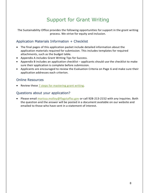# Support for Grant Writing

<span id="page-7-0"></span>The Sustainability Office provides the following opportunities for support in the grant writing process. We strive for equity and inclusion.

# <span id="page-7-1"></span>Application Materials Information + Checklist

- The final pages of this application packet include detailed information about the application materials required for submission. This includes templates for required attachments, such as the budget table.
- Appendix A includes Grant Writing Tips for Success.
- Appendix B includes an application checklist applicants should use the checklist to make sure their application is complete before submission.
- Applicants are encouraged to review the Evaluation Criteria on Page 6 and make sure their application addresses each criterion.

### <span id="page-7-2"></span>Online Resources

• Review these 7 steps for [mastering grant writing.](http://pages.springerpub.com/rs/512-TEE-232/images/Gitlin%20infographic.pdf?mkt_tok=eyJpIjoiTmpoaVlqQTBNMkptWlRSbSIsInQiOiI4WUw3SlwvTTNtMExUZXFJVWZlQVpaTGJJdnI1Zkx4bUJPN3BRQThPZ2xkZ1hOWFd1d0lNVnRlaUZ2RlNlenZGS09ycXkyRTdhczBEeDdUNVdPTkErVDhcL2EraTNcL2poV3g3bThyRXB3WlRQdndEcmhmSUlid2d0UjJNVUNLRjJESyJ9)

### <span id="page-7-3"></span>Questions about your application?

• Please email [marissa.molloy@flagstaffaz.gov](mailto:marissa.molloy@flagstaffaz.gov) or call 928-213-2152 with any inquiries. Both the question and the answer will be posted in a document available on our website and emailed to those who have sent in a statement of interest.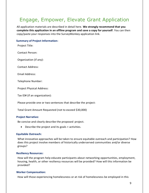# <span id="page-8-0"></span>Engage, Empower, Elevate Grant Application

All application materials are described in detail here. **We strongly recommend that you complete this application in an offline program and save a copy for yourself**. You can then copy/paste your responses into the SurveyMonkey application link.

#### **Summary of Project Information:**

Project Title:

Contact Person:

Organization (if any):

Contact Address:

Email Address:

Telephone Number:

Project Physical Address:

Tax ID# (if an organization):

Please provide one or two sentences that describe the project:

Total Grant Amount Requested (not to exceed \$30,000)

#### **Project Narrative:**

Be concise and clearly describe the proposed project.

• Describe the project and its goals + activities.

#### **Equitable Outreach:**

What innovative approaches will be taken to ensure equitable outreach and participation? How does this project involve members of historically underserved communities and/or diverse groups?

#### **Resiliency Resources:**

How will the program help educate participants about networking opportunities, employment, housing, health, or other resiliency resources will be provided? How will this information be provided?

#### **Worker Compensation:**

How will those experiencing homelessness or at risk of homelessness be employed in this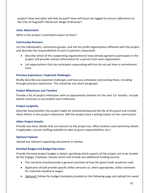project? How and when will they be paid? How will hours be logged to ensure adherence to the City of Flagstaff's Minimum Wage Ordinance?

#### **Litter Abatement:**

What is this project's estimated impact on litter?

#### **Community Partners:**

List the individual(s), community groups, and not-for-profit organizations affiliated with the project and describe the responsibilities of each (3 partners requested).

- Describe which of the cooperating organization(s) have already agreed to participate in the project and provide contact information for a person from each organization.
- List organizations that you anticipate cooperating with but do not yet have a commitment from.

### **Previous Experience / Expected Challenges:**

Briefly describe any expected challenges and how you anticipate overcoming these, including through previous experience. This should be one short paragraph.

#### **Project Milestones and Timeline**

Provide a list of project milestones with an approximate timeline for the next 12+ months. Include details necessary to accomplish each milestone.

### **Project Longevity**

Describe how/whether the project might be maintained beyond the life of this grant and include these efforts in the project milestones. Will the project have a lasting impact on the community?

### **Other Project Details:**

Provide any other details that are relevant to the project (ex: office location and ownership details if applicable, current staffing available to take on grant responsibilities, etc.)

### **Optional Upload:**

Upload any relevant supporting documents or photos.

### **Detailed Budget and Budget Narrative:**

Provide the total project budget in detail, specifying which aspects of the project are to be funded by the Engage, Empower, Elevate Grant and include any additional funding sources.

- The narrative should provide a general overview of how the grant funds would be used.
- Applicants should provide specific dollar amounts or, when appropriate, dollar estimates for materials needed or wages.
- Optional: Follow the budget template provided on the following page and upload the saved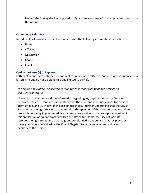file into the SurveyMonkey application. Type "see attachment" in the comment box if using this option.

#### **Community References:**

Include at least two independent references with the following information for each:

- Name
- Affiliation
- Occupation
- Phone
- Email

#### **Optional – Letter(s) of Support:**

Letters of support are optional. If your application includes letters of support, please compile your letters into one PDF and upload (file size limited to 16MB).

*The online application will ask you to read the following statement and provide an electronic signature:* 

I have read and understood the information regarding my application for the Engage, Empower, Elevate Grant and I understand that the grant money is not a prize for personal profit or gain and is strictly for the project described. I further understand that the City of Flagstaff has the right to allocate and monitor the spending of the grant money, and when project is not being implemented in a manner consistent with the description provided in this application or do not proceed within the stated timetable, the City of Flagstaff reserves the right to request that the grant be refunded. I understand that recipients of these grants may be invited by the City of Flagstaff to participate in promotion and publicity of the project.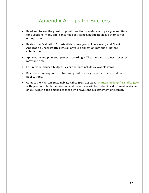# Appendix A: Tips for Success

- <span id="page-11-0"></span>• Read and follow the grant proposal directions carefully and give yourself time for questions. Many applicants need assistance, but do not leave themselves enough time.
- Review the Evaluation Criteria (this is how you will be scored) and Grant Application Checklist (this lists all of your application materials) before submission.
- Apply early and plan your project accordingly. The grant and project processes may take time.
- Ensure your included budget is clear and only includes allowable items.
- Be concise and organized. Staff and grant review group members read many applications.
- Contact the Flagstaff Sustainability Office (928-213-2152, [Marissa.molloy@flagstaffaz.gov\)](mailto:Marissa.molloy@flagstaffaz.gov) with questions. Both the question and the answer will be posted in a document available on our website and emailed to those who have sent in a statement of interest.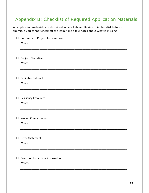# <span id="page-12-0"></span>Appendix B: Checklist of Required Application Materials

All application materials are described in detail above. Review this checklist before you submit. If you cannot check off the item, take a few notes about what is missing.

| $\Box$ | Summary of Project Information |
|--------|--------------------------------|
|        | Notes:                         |
|        |                                |
|        |                                |
|        |                                |
| $\Box$ | <b>Project Narrative</b>       |
|        | Notes:                         |
|        |                                |
|        |                                |
| $\Box$ | Equitable Outreach             |
|        | Notes:                         |
|        |                                |
|        |                                |
|        |                                |
| $\Box$ | <b>Resiliency Resources</b>    |
|        | Notes:                         |
|        |                                |
|        |                                |
| $\Box$ | <b>Worker Compensation</b>     |
|        | Notes:                         |
|        |                                |
|        |                                |
| $\Box$ | <b>Litter Abatement</b>        |
|        | Notes:                         |
|        |                                |
|        |                                |
|        |                                |
| $\Box$ | Community partner information  |
|        | Notes:                         |
|        |                                |
|        |                                |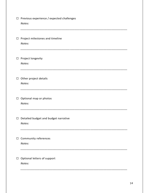| $\Box$ | Previous experience / expected challenges<br>Notes: |
|--------|-----------------------------------------------------|
| $\Box$ | Project milestones and timeline<br>Notes:           |
| $\Box$ | Project longevity<br>Notes:                         |
| $\Box$ | Other project details<br>Notes:                     |
| $\Box$ | Optional map or photos<br>Notes:                    |
| $\Box$ | Detailed budget and budget narrative<br>Notes:      |
| $\Box$ | Community references<br>Notes:                      |
| $\Box$ | Optional letters of support<br>Notes:               |